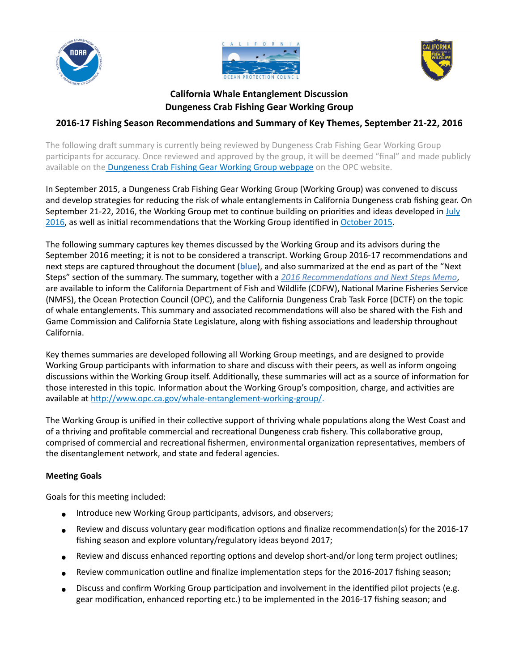





# **California Whale Entanglement Discussion Dungeness Crab Fishing Gear Working Group**

# **2016-17 Fishing Season Recommendations and Summary of Key Themes, September 21-22, 2016**

The following draft summary is currently being reviewed by Dungeness Crab Fishing Gear Working Group participants for accuracy. Once reviewed and approved by the group, it will be deemed "final" and made publicly available on the Dungeness Crab Fishing Gear Working Group webpage on the OPC website.

In September 2015, a Dungeness Crab Fishing Gear Working Group (Working Group) was convened to discuss and develop strategies for reducing the risk of whale entanglements in California Dungeness crab fishing gear. On September 21-22, 2016, the Working Group met to continue building on priorities and ideas developed in July 2016, as well as initial recommendations that the Working Group identified in [October 2015](http://www.opc.ca.gov/webmaster/_media_library/2015/08/CAWhaleEntanglement__Dcrab_Oct8_KeyThemesSummary_FINAL.pdf).

The following summary captures key themes discussed by the Working Group and its advisors during the September 2016 meeting; it is not to be considered a transcript. Working Group 2016-17 recommendations and next steps are captured throughout the document (blue), and also summarized at the end as part of the "Next Steps" section of the summary. The summary, together with a 2016 Recommendations and Next Steps Memo, are available to inform the California Department of Fish and Wildlife (CDFW), National Marine Fisheries Service (NMFS), the Ocean Protection Council (OPC), and the California Dungeness Crab Task Force (DCTF) on the topic of whale entanglements. This summary and associated recommendations will also be shared with the Fish and Game Commission and California State Legislature, along with fishing associations and leadership throughout California.

Key themes summaries are developed following all Working Group meetings, and are designed to provide Working Group participants with information to share and discuss with their peers, as well as inform ongoing discussions within the Working Group itself. Additionally, these summaries will act as a source of information for those interested in this topic. Information about the Working Group's composition, charge, and activities are available at<http://www.opc.ca.gov/whale-entanglement-working-group/>.

 The Working Group is unified in their collective support of thriving whale populations along the West Coast and of a thriving and profitable commercial and recreational Dungeness crab fishery. This collaborative group, comprised of commercial and recreational fishermen, environmental organization representatives, members of the disentanglement network, and state and federal agencies.

## **Meeting Goals**

Goals for this meeting included:

- Introduce new Working Group participants, advisors, and observers;
- ● Review and discuss voluntary gear modification options and finalize recommendation(s) for the 2016-17 fishing season and explore voluntary/regulatory ideas beyond 2017;
- Review and discuss enhanced reporting options and develop short-and/or long term project outlines;
- Review communication outline and finalize implementation steps for the 2016-2017 fishing season;
- ● Discuss and confirm Working Group participation and involvement in the identified pilot projects (e.g. gear modification, enhanced reporting etc.) to be implemented in the 2016-17 fishing season; and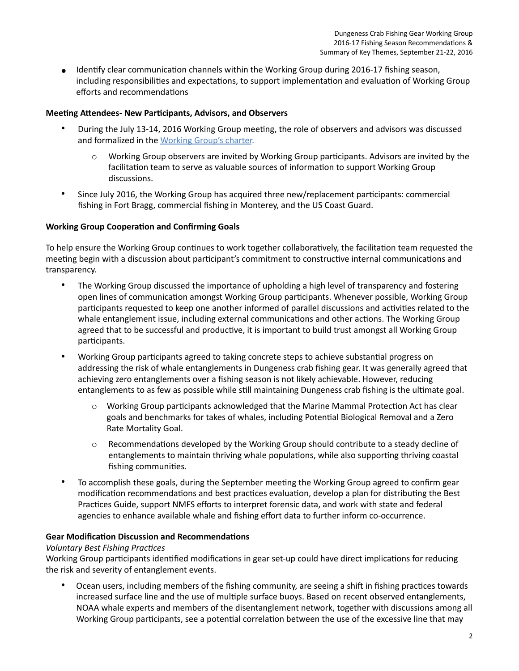● Identify clear communication channels within the Working Group during 2016-17 fishing season, including responsibilities and expectations, to support implementation and evaluation of Working Group efforts and recommendations

#### **Meeting Attendees- New Participants, Advisors, and Observers**

- • During the July 13-14, 2016 Working Group meeting, the role of observers and advisors was discussed and formalized in the [Working Group's charter](http://www.opc.ca.gov/webmaster/ftp/project_pages/whale-entanglement/Charter2016.pdf).
	- o Working Group observers are invited by Working Group participants. Advisors are invited by the facilitation team to serve as valuable sources of information to support Working Group discussions.
- • Since July 2016, the Working Group has acquired three new/replacement participants: commercial fishing in Fort Bragg, commercial fishing in Monterey, and the US Coast Guard.

## **Working Group Cooperation and Confirming Goals**

 To help ensure the Working Group continues to work together collaboratively, the facilitation team requested the meeting begin with a discussion about participant's commitment to constructive internal communications and transparency.

- • The Working Group discussed the importance of upholding a high level of transparency and fostering open lines of communication amongst Working Group participants. Whenever possible, Working Group participants requested to keep one another informed of parallel discussions and activities related to the whale entanglement issue, including external communications and other actions. The Working Group agreed that to be successful and productive, it is important to build trust amongst all Working Group participants.
- • Working Group participants agreed to taking concrete steps to achieve substantial progress on addressing the risk of whale entanglements in Dungeness crab fishing gear. It was generally agreed that achieving zero entanglements over a fishing season is not likely achievable. However, reducing entanglements to as few as possible while still maintaining Dungeness crab fishing is the ultimate goal.
	- o Working Group participants acknowledged that the Marine Mammal Protection Act has clear goals and benchmarks for takes of whales, including Potential Biological Removal and a Zero Rate Mortality Goal.
	- o Recommendations developed by the Working Group should contribute to a steady decline of entanglements to maintain thriving whale populations, while also supporting thriving coastal fishing communities.
- • To accomplish these goals, during the September meeting the Working Group agreed to confirm gear modification recommendations and best practices evaluation, develop a plan for distributing the Best Practices Guide, support NMFS efforts to interpret forensic data, and work with state and federal agencies to enhance available whale and fishing effort data to further inform co-occurrence.

#### **Gear Modification Discussion and Recommendations**

#### *Voluntary Best Fishing Practices*

 Working Group participants identified modifications in gear set-up could have direct implications for reducing the risk and severity of entanglement events.

 • Ocean users, including members of the fishing community, are seeing a shift in fishing practices towards increased surface line and the use of multiple surface buoys. Based on recent observed entanglements, NOAA whale experts and members of the disentanglement network, together with discussions among all Working Group participants, see a potential correlation between the use of the excessive line that may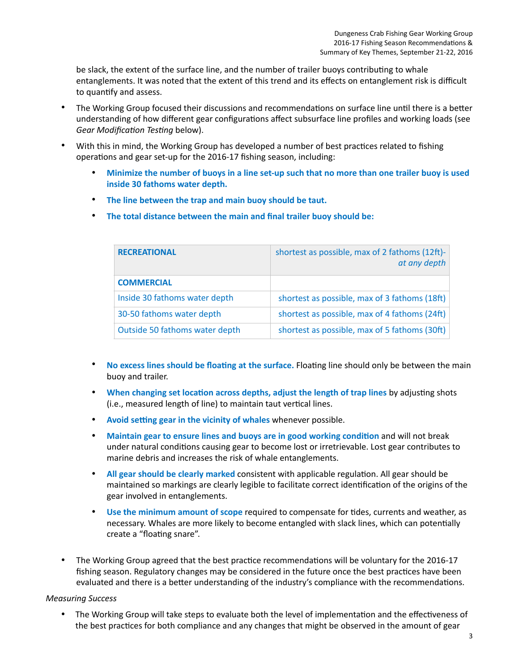be slack, the extent of the surface line, and the number of trailer buoys contributing to whale entanglements. It was noted that the extent of this trend and its effects on entanglement risk is difficult to quantify and assess.

- • The Working Group focused their discussions and recommendations on surface line until there is a better understanding of how different gear configurations affect subsurface line profiles and working loads (see *Gear Modification Testing* below).
- • With this in mind, the Working Group has developed a number of best practices related to fishing operations and gear set-up for the 2016-17 fishing season, including:
	- **Minimize the number of buoys in a line set-up such that no more than one trailer buoy is used inside 30 fathoms water depth.**
	- **The line between the trap and main buoy should be taut.**
	- **The total distance between the main and final trailer buoy should be:**

| <b>RECREATIONAL</b>            | shortest as possible, max of 2 fathoms (12ft)-<br>at any depth |
|--------------------------------|----------------------------------------------------------------|
| <b>COMMERCIAL</b>              |                                                                |
| Inside 30 fathoms water depth  | shortest as possible, max of 3 fathoms (18ft)                  |
| 30-50 fathoms water depth      | shortest as possible, max of 4 fathoms (24ft)                  |
| Outside 50 fathoms water depth | shortest as possible, max of 5 fathoms (30ft)                  |

- • **No excess lines should be floating at the surface.** Floating line should only be between the main buoy and trailer.
- • **When changing set location across depths, adjust the length of trap lines** by adjusting shots (i.e., measured length of line) to maintain taut vertical lines.
- **Avoid setting gear in the vicinity of whales** whenever possible.
- **Maintain gear to ensure lines and buoys are in good working condition** and will not break under natural conditions causing gear to become lost or irretrievable. Lost gear contributes to marine debris and increases the risk of whale entanglements.
- **All gear should be clearly marked** consistent with applicable regulation. All gear should be maintained so markings are clearly legible to facilitate correct identification of the origins of the gear involved in entanglements.
- • **Use the minimum amount of scope** required to compensate for tides, currents and weather, as necessary. Whales are more likely to become entangled with slack lines, which can potentially create a "floating snare".
- • The Working Group agreed that the best practice recommendations will be voluntary for the 2016-17 fishing season. Regulatory changes may be considered in the future once the best practices have been evaluated and there is a better understanding of the industry's compliance with the recommendations.

#### *Measuring Success*

 • The Working Group will take steps to evaluate both the level of implementation and the effectiveness of the best practices for both compliance and any changes that might be observed in the amount of gear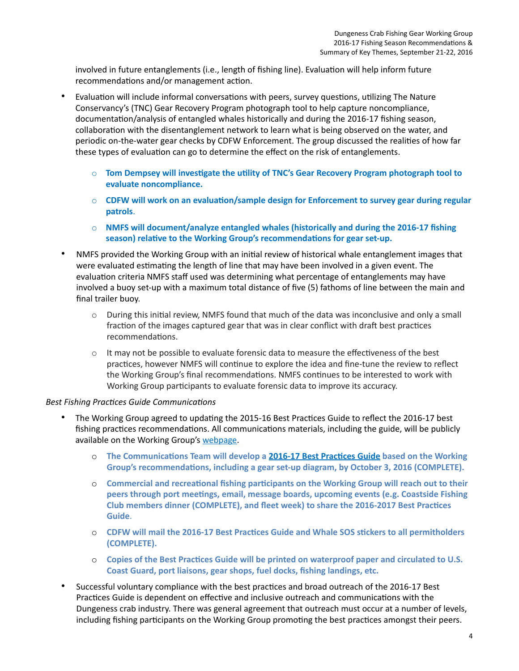involved in future entanglements (i.e., length of fishing line). Evaluation will help inform future recommendations and/or management action.

- • Evaluation will include informal conversations with peers, survey questions, utilizing The Nature Conservancy's (TNC) Gear Recovery Program photograph tool to help capture noncompliance, documentation/analysis of entangled whales historically and during the 2016-17 fishing season, collaboration with the disentanglement network to learn what is being observed on the water, and periodic on-the-water gear checks by CDFW Enforcement. The group discussed the realities of how far these types of evaluation can go to determine the effect on the risk of entanglements.
	- o **Tom Dempsey will investigate the utility of TNC's Gear Recovery Program photograph tool to evaluate noncompliance.**
	- o **CDFW will work on an evaluation/sample design for Enforcement to survey gear during regular patrols**.
	- o **NMFS will document/analyze entangled whales (historically and during the 2016-17 fishing season) relative to the Working Group's recommendations for gear set-up.**
- • NMFS provided the Working Group with an initial review of historical whale entanglement images that were evaluated estimating the length of line that may have been involved in a given event. The evaluation criteria NMFS staff used was determining what percentage of entanglements may have involved a buoy set-up with a maximum total distance of five (5) fathoms of line between the main and final trailer buoy.
	- o During this initial review, NMFS found that much of the data was inconclusive and only a small fraction of the images captured gear that was in clear conflict with draft best practices recommendations.
	- $\circ$  It may not be possible to evaluate forensic data to measure the effectiveness of the best practices, however NMFS will continue to explore the idea and fine-tune the review to reflect the Working Group's final recommendations. NMFS continues to be interested to work with Working Group participants to evaluate forensic data to improve its accuracy.

#### *Best Fishing Practices Guide Communications*

- • The Working Group agreed to updating the 2015-16 Best Practices Guide to reflect the 2016-17 best fishing practices recommendations. All communications materials, including the guide, will be publicly available on the Working Group's [webpage.](http://www.opc.ca.gov/whale-entanglement-working-group/)
	- o **The Communications Team will develop a [2016-17 Best Practices Guide](http://www.opc.ca.gov/webmaster/_media_library/2016/08/Best_Practices_Guide_Final.pdf) based on the Working Group's recommendations, including a gear set-up diagram, by October 3, 2016 (COMPLETE).**
	- o **Commercial and recreational fishing participants on the Working Group will reach out to their peers through port meetings, email, message boards, upcoming events (e.g. Coastside Fishing Club members dinner (COMPLETE), and fleet week) to share the 2016-2017 Best Practices Guide**.
	- o **CDFW will mail the 2016-17 Best Practices Guide and Whale SOS stickers to all permitholders (COMPLETE).**
	- o **Copies of the Best Practices Guide will be printed on waterproof paper and circulated to U.S. Coast Guard, port liaisons, gear shops, fuel docks, fishing landings, etc.**
- • Successful voluntary compliance with the best practices and broad outreach of the 2016-17 Best Practices Guide is dependent on effective and inclusive outreach and communications with the Dungeness crab industry. There was general agreement that outreach must occur at a number of levels, including fishing participants on the Working Group promoting the best practices amongst their peers.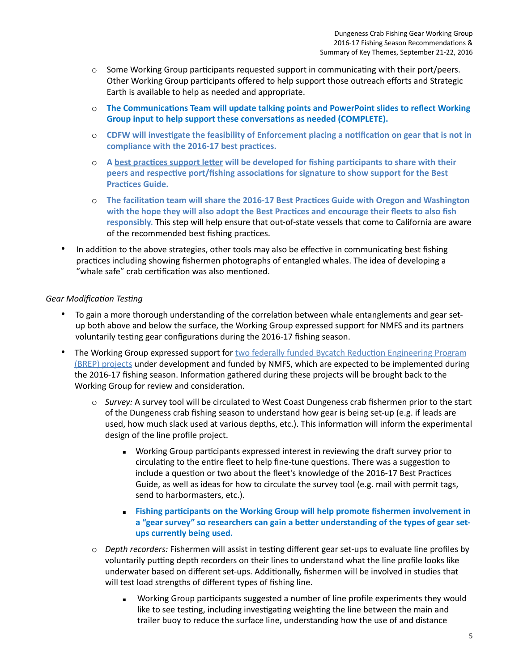- o Some Working Group participants requested support in communicating with their port/peers. Other Working Group participants offered to help support those outreach efforts and Strategic Earth is available to help as needed and appropriate.
- o **The Communications Team will update talking points and PowerPoint slides to reflect Working Group input to help support these conversations as needed (COMPLETE).**
- o **CDFW will investigate the feasibility of Enforcement placing a notification on gear that is not in compliance with the 2016-17 best practices.**
- **peers and respective port/fishing associations for signature to show support for the Best**  o **A [best practices support letter](https://drive.google.com/open?id=0B6-V3xUQO_ivUkpRM1lRWmxEenc) will be developed for fishing participants to share with their Practices Guide.**
- **responsibly.** This step will help ensure that out-of-state vessels that come to California are aware of the recommended best fishing practices. o **The facilitation team will share the 2016-17 Best Practices Guide with Oregon and Washington with the hope they will also adopt the Best Practices and encourage their fleets to also fish**
- • In addition to the above strategies, other tools may also be effective in communicating best fishing practices including showing fishermen photographs of entangled whales. The idea of developing a "whale safe" crab certification was also mentioned.

#### *Gear Modification Testing*

- • To gain a more thorough understanding of the correlation between whale entanglements and gear set- up both above and below the surface, the Working Group expressed support for NMFS and its partners voluntarily testing gear configurations during the 2016-17 fishing season.
- The Working Group expressed support for two federally funded Bycatch Reduction Engineering Program [\(BREP\) projects under development and funded by NMFS, which are expected to be implemented during](https://drive.google.com/file/d/0B3_3yx7snqRSUEV2MERPRnV3cDg/view?usp=sharing) the 2016-17 fishing season. Information gathered during these projects will be brought back to the Working Group for review and consideration.
	- o *Survey:* A survey tool will be circulated to West Coast Dungeness crab fishermen prior to the start of the Dungeness crab fishing season to understand how gear is being set-up (e.g. if leads are used, how much slack used at various depths, etc.). This information will inform the experimental design of the line profile project.
		- Working Group participants expressed interest in reviewing the draft survey prior to circulating to the entire fleet to help fine-tune questions. There was a suggestion to include a question or two about the fleet's knowledge of the 2016-17 Best Practices Guide, as well as ideas for how to circulate the survey tool (e.g. mail with permit tags, send to harbormasters, etc.).
		- **Eishing participants on the Working Group will help promote fishermen involvement in a "gear survey" so researchers can gain a better understanding of the types of gear setups currently being used.**
	- o *Depth recorders:* Fishermen will assist in testing different gear set-ups to evaluate line profiles by voluntarily putting depth recorders on their lines to understand what the line profile looks like underwater based on different set-ups. Additionally, fishermen will be involved in studies that will test load strengths of different types of fishing line.
		- Working Group participants suggested a number of line profile experiments they would like to see testing, including investigating weighting the line between the main and trailer buoy to reduce the surface line, understanding how the use of and distance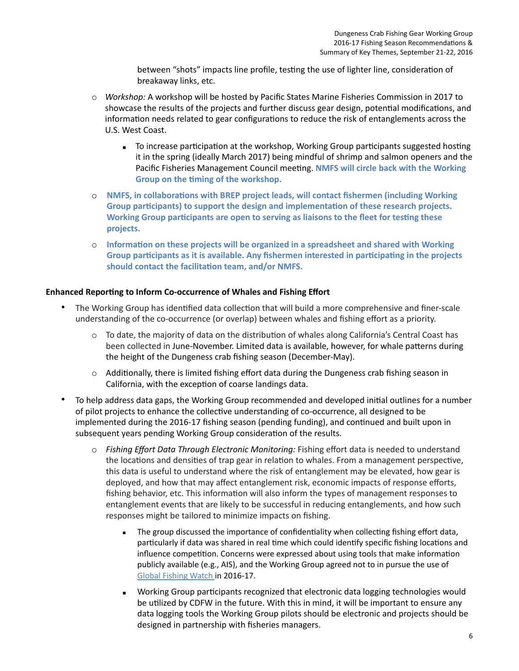between "shots" impacts line profile, testing the use of lighter line, consideration of breakaway links, etc.

- o *Workshop:* A workshop will be hosted by Pacific States Marine Fisheries Commission in 2017 to showcase the results of the projects and further discuss gear design, potential modifications, and information needs related to gear configurations to reduce the risk of entanglements across the U.S. West Coast.
	- To increase participation at the workshop, Working Group participants suggested hosting it in the spring (ideally March 2017) being mindful of shrimp and salmon openers and the Pacific Fisheries Management Council meeting. **NMFS will circle back with the Working Group on the timing of the workshop.**
- o **NMFS, in collaborations with BREP project leads, will contact fishermen (including Working Working Group participants are open to serving as liaisons to the fleet for testing these Group participants) to support the design and implementation of these research projects. projects.**
- o **Information on these projects will be organized in a spreadsheet and shared with Working Group participants as it is available. Any fishermen interested in participating in the projects should contact the facilitation team, and/or NMFS.**

#### **Enhanced Reporting to Inform Co-occurrence of Whales and Fishing Effort**

- • The Working Group has identified data collection that will build a more comprehensive and finer-scale understanding of the co-occurrence (or overlap) between whales and fishing effort as a priority.
	- o To date, the majority of data on the distribution of whales along California's Central Coast has been collected in June-November. Limited data is available, however, for whale patterns during the height of the Dungeness crab fishing season (December-May).
	- o Additionally, there is limited fishing effort data during the Dungeness crab fishing season in California, with the exception of coarse landings data.
- • To help address data gaps, the Working Group recommended and developed initial outlines for a number of pilot projects to enhance the collective understanding of co-occurrence, all designed to be implemented during the 2016-17 fishing season (pending funding), and continued and built upon in subsequent years pending Working Group consideration of the results.
	- o *Fishing Effort Data Through Electronic Monitoring:* Fishing effort data is needed to understand the locations and densities of trap gear in relation to whales. From a management perspective, this data is useful to understand where the risk of entanglement may be elevated, how gear is deployed, and how that may affect entanglement risk, economic impacts of response efforts, fishing behavior, etc. This information will also inform the types of management responses to entanglement events that are likely to be successful in reducing entanglements, and how such responses might be tailored to minimize impacts on fishing.
		- **The group discussed the importance of confidentiality when collecting fishing effort data,**  particularly if data was shared in real time which could identify specific fishing locations and influence competition. Concerns were expressed about using tools that make information publicly available (e.g., AIS), and the Working Group agreed not to in pursue the use of [Global Fishing Watch](http://globalfishingwatch.org/) in 2016-17.
		- **■** Working Group participants recognized that electronic data logging technologies would be utilized by CDFW in the future. With this in mind, it will be important to ensure any data logging tools the Working Group pilots should be electronic and projects should be designed in partnership with fisheries managers.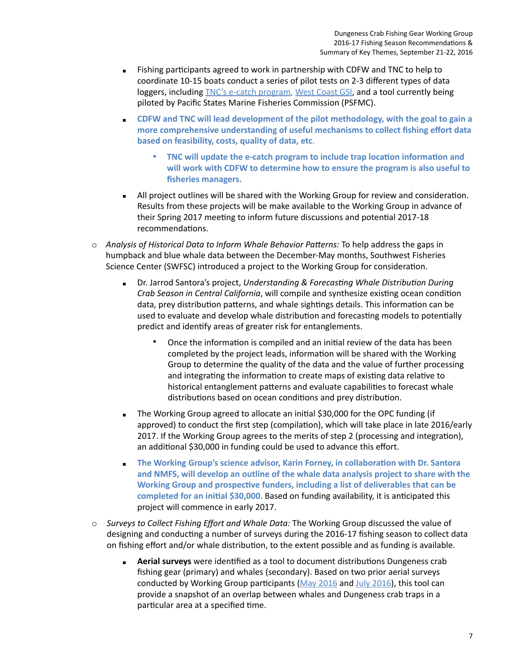- Fishing participants agreed to work in partnership with CDFW and TNC to help to coordinate 10-15 boats conduct a series of pilot tests on 2-3 different types of data loggers, including [TNC's e-catch program](https://www.ecatch.org/), [West Coast GSI,](https://www.nwfsc.noaa.gov/research/divisions/cb/mathbio/croos.cfm) and a tool currently being piloted by Pacific States Marine Fisheries Commission (PSFMC).
- **EXECT THE ADDET MOTE THE COFW and TNC will lead development of the pilot methodology, with the goal to gain a more comprehensive understanding of useful mechanisms to collect fishing effort data based on feasibility, costs, quality of data, etc**.
	- **will work with CDFW to determine how to ensure the program is also useful to**  • **TNC will update the e-catch program to include trap location information and fisheries managers.**
- All project outlines will be shared with the Working Group for review and consideration. Results from these projects will be make available to the Working Group in advance of their Spring 2017 meeting to inform future discussions and potential 2017-18 recommendations.
- o *Analysis of Historical Data to Inform Whale Behavior Patterns:* To help address the gaps in humpback and blue whale data between the December-May months, Southwest Fisheries Science Center (SWFSC) introduced a project to the Working Group for consideration.
	- **EXED F. Jarrod Santora's project, Understanding & Forecasting Whale Distribution During**  *Crab Season in Central California*, will compile and synthesize existing ocean condition data, prey distribution patterns, and whale sightings details. This information can be used to evaluate and develop whale distribution and forecasting models to potentially predict and identify areas of greater risk for entanglements.
		- • Once the information is compiled and an initial review of the data has been completed by the project leads, information will be shared with the Working Group to determine the quality of the data and the value of further processing and integrating the information to create maps of existing data relative to historical entanglement patterns and evaluate capabilities to forecast whale distributions based on ocean conditions and prey distribution.
	- The Working Group agreed to allocate an initial \$30,000 for the OPC funding (if approved) to conduct the first step (compilation), which will take place in late 2016/early 2017. If the Working Group agrees to the merits of step 2 (processing and integration), an additional \$30,000 in funding could be used to advance this effort.
	- **EXPLEM** The Working Group's science advisor, Karin Forney, in collaboration with Dr. Santora  **and NMFS, will develop an outline of the whale data analysis project to share with the Working Group and prospective funders, including a list of deliverables that can be completed for an initial \$30,000**. Based on funding availability, it is anticipated this project will commence in early 2017.
- o *Surveys to Collect Fishing Effort and Whale Data:* The Working Group discussed the value of designing and conducting a number of surveys during the 2016-17 fishing season to collect data on fishing effort and/or whale distribution, to the extent possible and as funding is available.
	- **EXED Aerial surveys** were identified as a tool to document distributions Dungeness crab fishing gear (primary) and whales (secondary). Based on two prior aerial surveys conducted by Working Group participants ([May 2016](http://www.opc.ca.gov/webmaster/ftp/project_pages/whale-entanglement/AerialSurvey-May2016.pdf) and [July 2016\)](http://www.opc.ca.gov/webmaster/ftp/project_pages/whale-entanglement/AerialSurvey-July2016.pdf), this tool can provide a snapshot of an overlap between whales and Dungeness crab traps in a particular area at a specified time.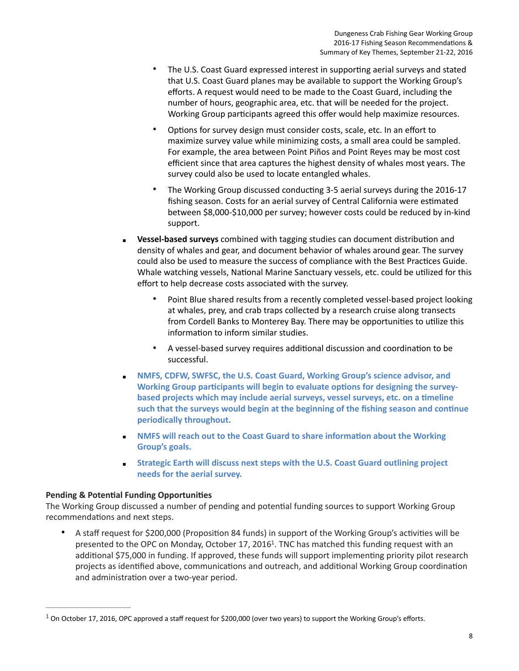- • The U.S. Coast Guard expressed interest in supporting aerial surveys and stated that U.S. Coast Guard planes may be available to support the Working Group's efforts. A request would need to be made to the Coast Guard, including the number of hours, geographic area, etc. that will be needed for the project. Working Group participants agreed this offer would help maximize resources.
- • Options for survey design must consider costs, scale, etc. In an effort to maximize survey value while minimizing costs, a small area could be sampled. For example, the area between Point Piños and Point Reyes may be most cost efficient since that area captures the highest density of whales most years. The survey could also be used to locate entangled whales.
- • The Working Group discussed conducting 3-5 aerial surveys during the 2016-17 fishing season. Costs for an aerial survey of Central California were estimated between \$8,000-\$10,000 per survey; however costs could be reduced by in-kind support.
- **EXEM** Vessel-based surveys combined with tagging studies can document distribution and density of whales and gear, and document behavior of whales around gear. The survey could also be used to measure the success of compliance with the Best Practices Guide. Whale watching vessels, National Marine Sanctuary vessels, etc. could be utilized for this effort to help decrease costs associated with the survey.
	- • Point Blue shared results from a recently completed vessel-based project looking at whales, prey, and crab traps collected by a research cruise along transects from Cordell Banks to Monterey Bay. There may be opportunities to utilize this information to inform similar studies.
	- • A vessel-based survey requires additional discussion and coordination to be successful.
- **EXECUTE: NMFS, CDFW, SWFSC, the U.S. Coast Guard, Working Group's science advisor, and Working Group participants will begin to evaluate options for designing the surveybased projects which may include aerial surveys, vessel surveys, etc. on a timeline such that the surveys would begin at the beginning of the fishing season and continue periodically throughout.**
- **EXECUTE: NMFS will reach out to the Coast Guard to share information about the Working Group's goals.**
- **needs for the aerial survey. Example 3 Strategic Earth will discuss next steps with the U.S. Coast Guard outlining project**

## **Pending & Potential Funding Opportunities**

 The Working Group discussed a number of pending and potential funding sources to support Working Group recommendations and next steps.

 • A staff request for \$200,000 (Proposition 84 funds) in support of the Working Group's activities will be presented to the OPC on Monday, October 17, 2016<sup>1</sup>. TNC has matched this funding request with an additional \$75,000 in funding. If approved, these funds will support implementing priority pilot research projects as identified above, communications and outreach, and additional Working Group coordination and administration over a two-year period.

<span id="page-7-0"></span> $1$  On October 17, 2016, OPC approved a staff request for \$200,000 (over two years) to support the Working Group's efforts.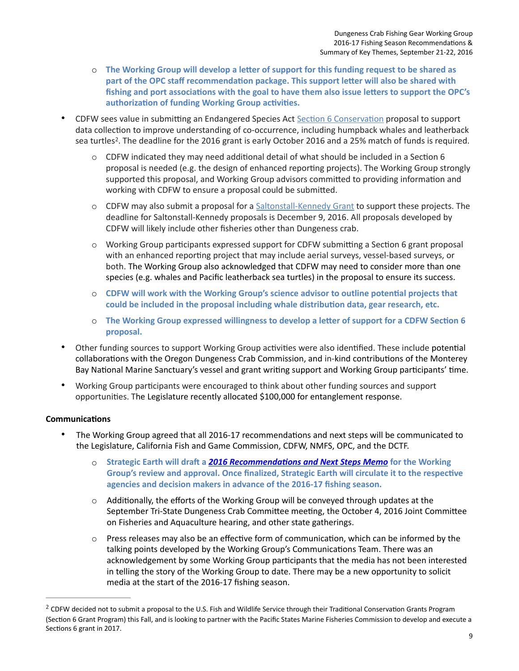- o **The Working Group will develop a letter of support for this funding request to be shared as part of the OPC staff recommendation package. This support letter will also be shared with authorization of funding Working Group activities. fishing and port associations with the goal to have them also issue letters to support the OPC's**
- CDFW sees value in submitting an Endangered Species Act [Section 6 Conservation](https://www.wildlife.ca.gov/Grants/Endangered-Species) proposal to support data collection to improve understanding of co-occurrence, including humpback whales and leatherback sea turtles<sup>2</sup>. The deadline for the 2016 grant is early October 2016 and a 25% match of funds is required.
	- o CDFW indicated they may need additional detail of what should be included in a Section 6 proposal is needed (e.g. the design of enhanced reporting projects). The Working Group strongly supported this proposal, and Working Group advisors committed to providing information and working with CDFW to ensure a proposal could be submitted.
	- o CDFW may also submit a proposal for a [Saltonstall-Kennedy Grant](http://www.fisheries.noaa.gov/mb/financial_services/skhome.htm) to support these projects. The deadline for Saltonstall-Kennedy proposals is December 9, 2016. All proposals developed by CDFW will likely include other fisheries other than Dungeness crab.
	- o Working Group participants expressed support for CDFW submitting a Section 6 grant proposal with an enhanced reporting project that may include aerial surveys, vessel-based surveys, or both. The Working Group also acknowledged that CDFW may need to consider more than one species (e.g. whales and Pacific leatherback sea turtles) in the proposal to ensure its success.
	- o **CDFW will work with the Working Group's science advisor to outline potential projects that could be included in the proposal including whale distribution data, gear research, etc.**
	- o **The Working Group expressed willingness to develop a letter of support for a CDFW Section 6 proposal.**
- • Other funding sources to support Working Group activities were also identified. These include potential collaborations with the Oregon Dungeness Crab Commission, and in-kind contributions of the Monterey Bay National Marine Sanctuary's vessel and grant writing support and Working Group participants' time.
- • Working Group participants were encouraged to think about other funding sources and support opportunities. The Legislature recently allocated \$100,000 for entanglement response.

#### **Communications**

- • The Working Group agreed that all 2016-17 recommendations and next steps will be communicated to the Legislature, California Fish and Game Commission, CDFW, NMFS, OPC, and the DCTF.
	- $\circ$  Strategic Earth will draft a 2016 Recommendations and Next Steps Memo<sup>for</sup> the Working **Group's review and approval. Once finalized, Strategic Earth will circulate it to the respective agencies and decision makers in advance of the 2016-17 fishing season.**
	- $\circ$  Additionally, the efforts of the Working Group will be conveyed through updates at the September Tri-State Dungeness Crab Committee meeting, the October 4, 2016 Joint Committee on Fisheries and Aquaculture hearing, and other state gatherings.
	- $\circ$  Press releases may also be an effective form of communication, which can be informed by the talking points developed by the Working Group's Communications Team. There was an acknowledgement by some Working Group participants that the media has not been interested in telling the story of the Working Group to date. There may be a new opportunity to solicit media at the start of the 2016-17 fishing season.

<span id="page-8-0"></span> $^2$  CDFW decided not to submit a proposal to the U.S. Fish and Wildlife Service through their Traditional Conservation Grants Program (Section 6 Grant Program) this Fall, and is looking to partner with the Pacific States Marine Fisheries Commission to develop and execute a Sections 6 grant in 2017.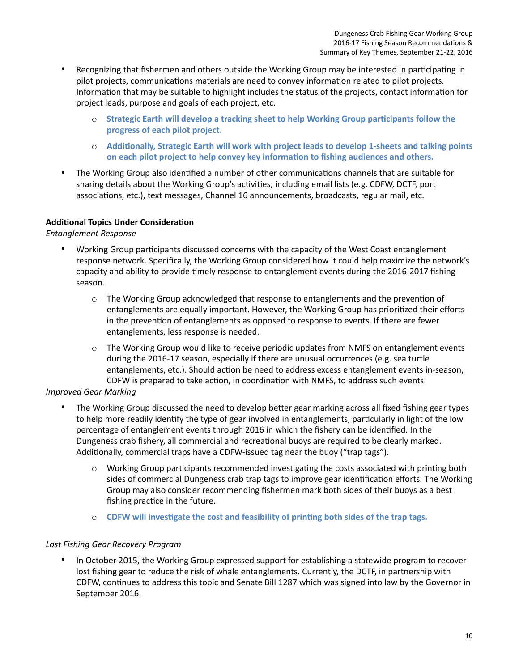- • Recognizing that fishermen and others outside the Working Group may be interested in participating in pilot projects, communications materials are need to convey information related to pilot projects. Information that may be suitable to highlight includes the status of the projects, contact information for project leads, purpose and goals of each project, etc.
	- o **Strategic Earth will develop a tracking sheet to help Working Group participants follow the progress of each pilot project.**
	- o **Additionally, Strategic Earth will work with project leads to develop 1-sheets and talking points on each pilot project to help convey key information to fishing audiences and others.**
- • The Working Group also identified a number of other communications channels that are suitable for sharing details about the Working Group's activities, including email lists (e.g. CDFW, DCTF, port associations, etc.), text messages, Channel 16 announcements, broadcasts, regular mail, etc.

#### **Additional Topics Under Consideration**

*Entanglement Response* 

- • Working Group participants discussed concerns with the capacity of the West Coast entanglement response network. Specifically, the Working Group considered how it could help maximize the network's capacity and ability to provide timely response to entanglement events during the 2016-2017 fishing season.
	- $\circ$  The Working Group acknowledged that response to entanglements and the prevention of entanglements are equally important. However, the Working Group has prioritized their efforts in the prevention of entanglements as opposed to response to events. If there are fewer entanglements, less response is needed.
	- o The Working Group would like to receive periodic updates from NMFS on entanglement events during the 2016-17 season, especially if there are unusual occurrences (e.g. sea turtle entanglements, etc.). Should action be need to address excess entanglement events in-season, CDFW is prepared to take action, in coordination with NMFS, to address such events.

#### *Improved Gear Marking*

- • The Working Group discussed the need to develop better gear marking across all fixed fishing gear types to help more readily identify the type of gear involved in entanglements, particularly in light of the low percentage of entanglement events through 2016 in which the fishery can be identified. In the Dungeness crab fishery, all commercial and recreational buoys are required to be clearly marked. Additionally, commercial traps have a CDFW-issued tag near the buoy ("trap tags").
	- o Working Group participants recommended investigating the costs associated with printing both sides of commercial Dungeness crab trap tags to improve gear identification efforts. The Working Group may also consider recommending fishermen mark both sides of their buoys as a best fishing practice in the future.
	- o **CDFW will investigate the cost and feasibility of printing both sides of the trap tags.**

## *Lost Fishing Gear Recovery Program*

• In October 2015, the Working Group expressed support for establishing a statewide program to recover lost fishing gear to reduce the risk of whale entanglements. Currently, the DCTF, in partnership with CDFW, continues to address this topic and Senate Bill 1287 which was signed into law by the Governor in September 2016.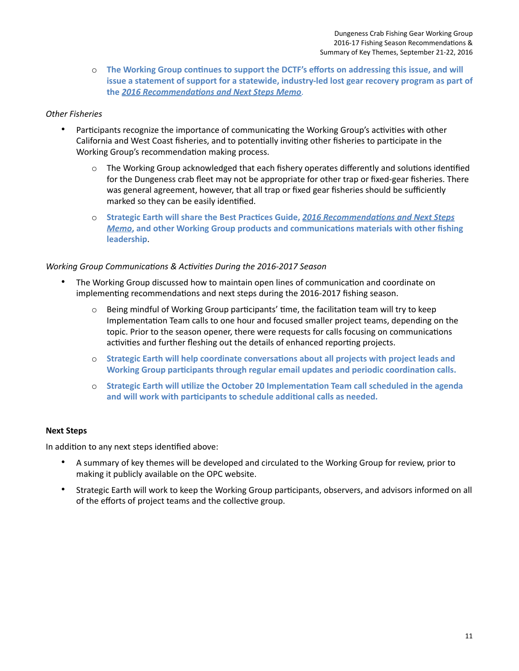o The Working Group continues to support the DCTF's efforts on addressing this issue, and will **issue a statement of support for a statewide, industry-led lost gear recovery program as part of**  the 2016 Recommendations and Next Steps Memo.

## *Other Fisheries*

- • Participants recognize the importance of communicating the Working Group's activities with other California and West Coast fisheries, and to potentially inviting other fisheries to participate in the Working Group's recommendation making process.
	- o The Working Group acknowledged that each fishery operates differently and solutions identified for the Dungeness crab fleet may not be appropriate for other trap or fixed-gear fisheries. There was general agreement, however, that all trap or fixed gear fisheries should be sufficiently marked so they can be easily identified.
	- o Strategic Earth will share the Best Practices Guide, **2016 Recommendations and Next Steps Memo**, and other Working Group products and communications materials with other fishing **leadership**.

## *Working Group Communications & Activities During the 2016-2017 Season*

- • The Working Group discussed how to maintain open lines of communication and coordinate on implementing recommendations and next steps during the 2016-2017 fishing season.
	- o Being mindful of Working Group participants' time, the facilitation team will try to keep Implementation Team calls to one hour and focused smaller project teams, depending on the topic. Prior to the season opener, there were requests for calls focusing on communications activities and further fleshing out the details of enhanced reporting projects.
	- **Working Group participants through regular email updates and periodic coordination calls.**  o **Strategic Earth will help coordinate conversations about all projects with project leads and**
	- **and will work with participants to schedule additional calls as needed.**  o **Strategic Earth will utilize the October 20 Implementation Team call scheduled in the agenda**

#### **Next Steps**

In addition to any next steps identified above:

- • A summary of key themes will be developed and circulated to the Working Group for review, prior to making it publicly available on the OPC website.
- • Strategic Earth will work to keep the Working Group participants, observers, and advisors informed on all of the efforts of project teams and the collective group.